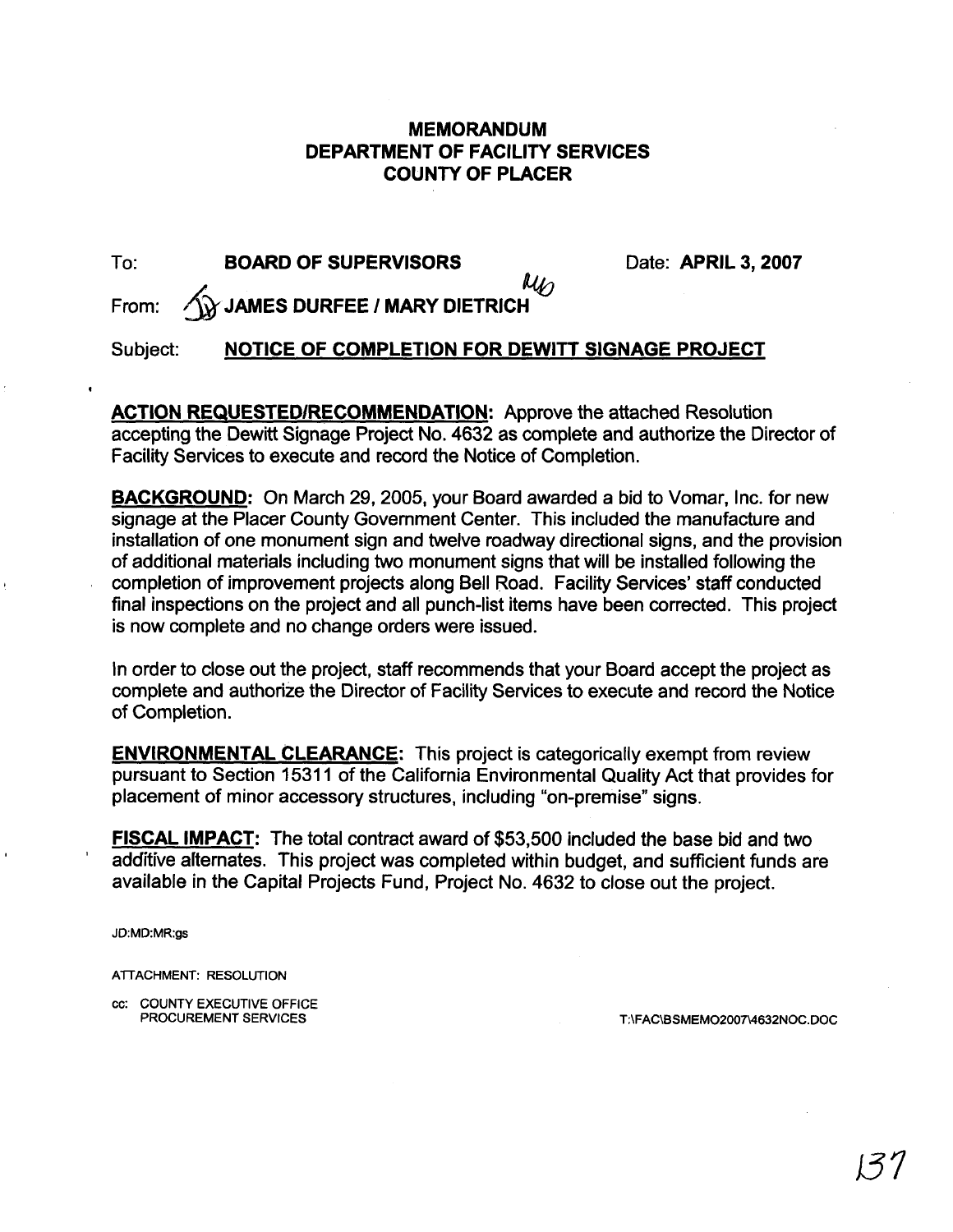## **MEMORANDUM DEPARTMENT OF FACILITY SERVICES COUNTY OF PLACER**

| To:      | <b>BOARD OF SUPERVISORS</b>                              | Date: APRIL 3, 2007 |
|----------|----------------------------------------------------------|---------------------|
|          | $\mu_{\text{L}}$<br>From: 1 JAMES DURFEE / MARY DIETRICH |                     |
| Subject: | NOTICE OF COMPLETION FOR DEWITT SIGNAGE PROJECT          |                     |

**ACTION REQUESTEDIRECOMMENDATION:** Approve the attached Resolution accepting the Dewitt Signage Project No. 4632 as complete and authorize the Director of Facility Services to execute and record the Notice of Completion.

**BACKGROUND:** On March 29, 2005, your Board awarded a bid to Vomar, Inc. for new signage at the Placer County Government Center. This included the manufacture and installation of one monument sign and twelve roadway directional signs, and the provision of additional materials including two monument signs that will be installed following the *<sup>I</sup>*completion of improvement projects along Bell Road. Facility Services' staff conducted final inspections on the project and all punch-list items have been corrected. This project is now complete and no change orders were issued.

In order to close out the project, staff recommends that your Board accept the project as complete and authorize the Director of Facility Services to execute and record the Notice of Completion.

**ENVIRONMENTAL CLEARANCE:** This project is categorically exempt from review pursuant to Section 1531 1 of the California Environmental Quality Act that provides for placement of minor accessory structures, including "on-premise" signs.

**FISCAL IMPACT:** The total contract award of \$53,500 included the base bid and two additive alternates. This project was completed within budget, and sufficient funds are available in the Capital Projects Fund, Project No. 4632 to close out the project.

JD:MD:MR:gs

ATTACHMENT: RESOLUTION

cc: COUNTY EXECUTIVE OFFICE PROCUREMENT SERVICES

T:\FAC\BSMEMO2007\4632NOC.DOC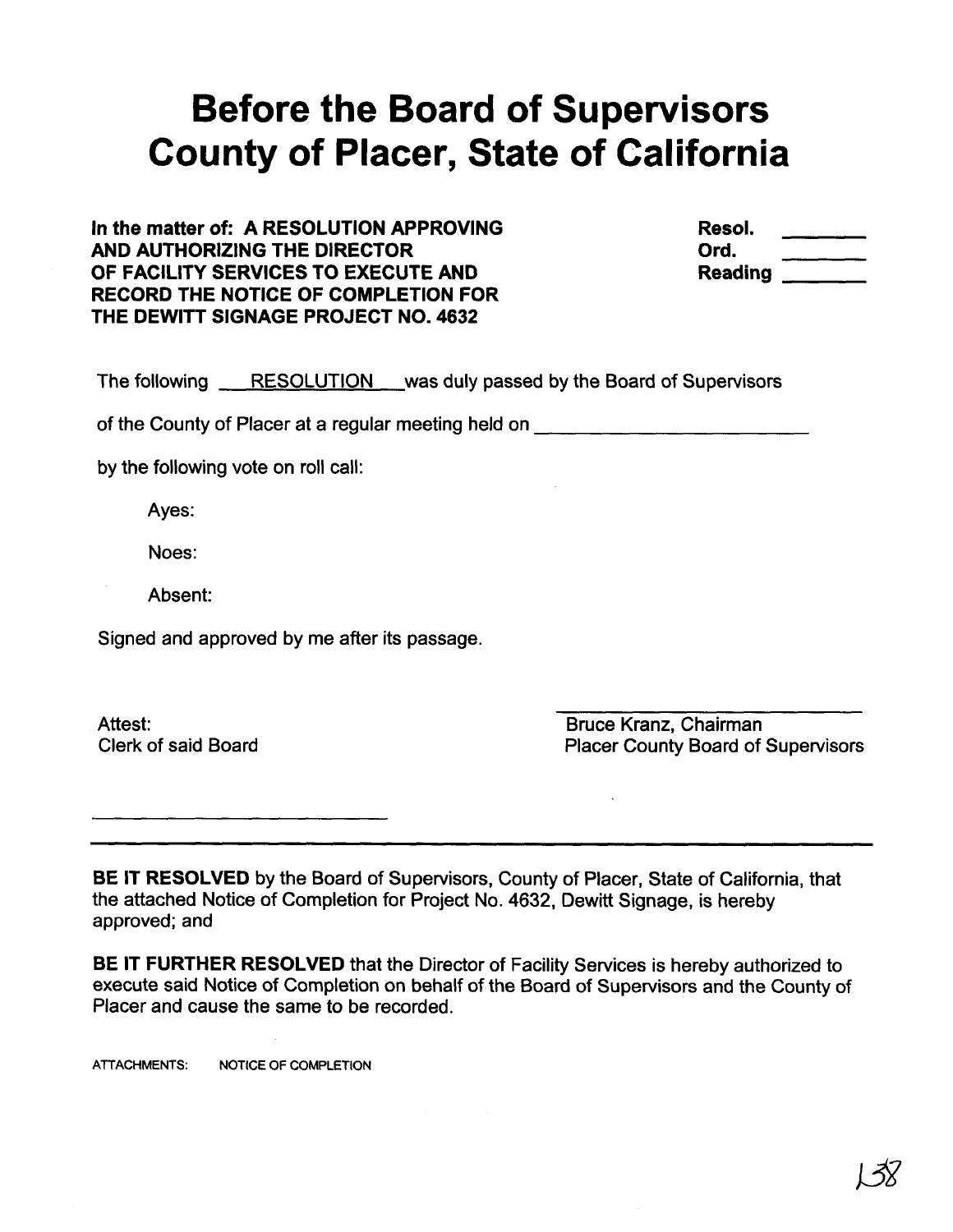# **Before the Board of Supervisors County of Placer, State of California**

**In the matter of: A RESOLUTION APPROVING AND AUTHORIZING THE DIRECTOR OF FACILITY SERVICES TO EXECUTE AND RECORD THE NOTICE OF COMPLETION FOR THE DEWITT SIGNAGE PROJECT NO. 4632** 

**Resol. 0 rd. Reading** 

|  |  |  | The following RESOLUTION was duly passed by the Board of Supervisors |
|--|--|--|----------------------------------------------------------------------|
|--|--|--|----------------------------------------------------------------------|

of the County of Placer at a regular meeting held on

by the following vote on roll call:

Ayes:

Noes:

Absent:

Signed and approved by me after its passage.

Attest: Clerk of said Board

Bruce Kranz, Chairman Placer County Board of Supervisors

**BE IT RESOLVED** by the Board of Supervisors, County of Placer, State of California, that the attached Notice of Completion for Project No. 4632, Dewitt Signage, is hereby approved; and

**BE IT FURTHER RESOLVED** that the Director of Facility Services is hereby authorized to execute said Notice of Completion on behalf of the Board of Supervisors and the County of Placer and cause the same to be recorded.

**ATTACHMENTS: NOTICE OF COMPLETION**